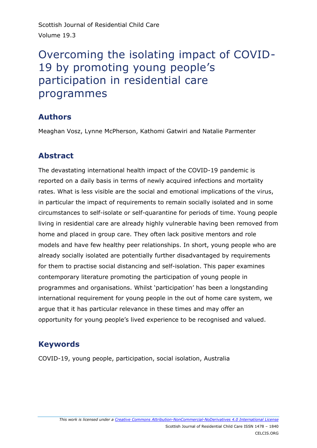Scottish Journal of Residential Child Care Volume 19.3

# Overcoming the isolating impact of COVID-19 by promoting young people's participation in residential care programmes

# **Authors**

Meaghan Vosz, Lynne McPherson, Kathomi Gatwiri and Natalie Parmenter

# **Abstract**

The devastating international health impact of the COVID-19 pandemic is reported on a daily basis in terms of newly acquired infections and mortality rates. What is less visible are the social and emotional implications of the virus, in particular the impact of requirements to remain socially isolated and in some circumstances to self-isolate or self-quarantine for periods of time. Young people living in residential care are already highly vulnerable having been removed from home and placed in group care. They often lack positive mentors and role models and have few healthy peer relationships. In short, young people who are already socially isolated are potentially further disadvantaged by requirements for them to practise social distancing and self-isolation. This paper examines contemporary literature promoting the participation of young people in programmes and organisations. Whilst 'participation' has been a longstanding international requirement for young people in the out of home care system, we argue that it has particular relevance in these times and may offer an opportunity for young people's lived experience to be recognised and valued.

# **Keywords**

COVID-19, young people, participation, social isolation, Australia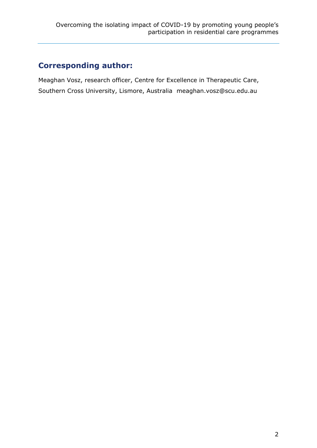# **Corresponding author:**

Meaghan Vosz, research officer, Centre for Excellence in Therapeutic Care, Southern Cross University, Lismore, Australia [meaghan.vosz@scu.edu.au](mailto:meaghan.vosz@scu.edu.au)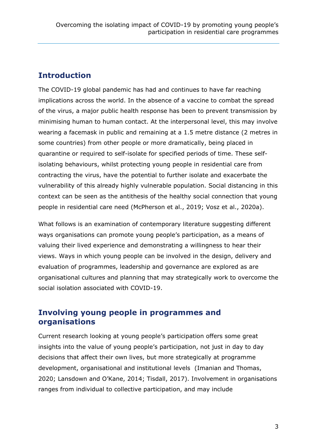### **Introduction**

The COVID-19 global pandemic has had and continues to have far reaching implications across the world. In the absence of a vaccine to combat the spread of the virus, a major public health response has been to prevent transmission by minimising human to human contact. At the interpersonal level, this may involve wearing a facemask in public and remaining at a 1.5 metre distance (2 metres in some countries) from other people or more dramatically, being placed in quarantine or required to self-isolate for specified periods of time. These selfisolating behaviours, whilst protecting young people in residential care from contracting the virus, have the potential to further isolate and exacerbate the vulnerability of this already highly vulnerable population. Social distancing in this context can be seen as the antithesis of the healthy social connection that young people in residential care need (McPherson et al., 2019; Vosz et al., 2020a).

What follows is an examination of contemporary literature suggesting different ways organisations can promote young people's participation, as a means of valuing their lived experience and demonstrating a willingness to hear their views. Ways in which young people can be involved in the design, delivery and evaluation of programmes, leadership and governance are explored as are organisational cultures and planning that may strategically work to overcome the social isolation associated with COVID-19.

#### **Involving young people in programmes and organisations**

Current research looking at young people's participation offers some great insights into the value of young people's participation, not just in day to day decisions that affect their own lives, but more strategically at programme development, organisational and institutional levels (Imanian and Thomas, 2020; Lansdown and O'Kane, 2014; Tisdall, 2017). Involvement in organisations ranges from individual to collective participation, and may include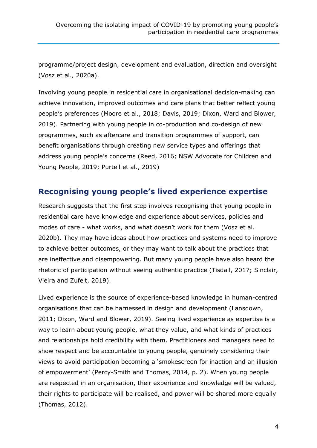programme/project design, development and evaluation, direction and oversight (Vosz et al.*,* 2020a).

Involving young people in residential care in organisational decision-making can achieve innovation, improved outcomes and care plans that better reflect young people's preferences (Moore et al*.*, 2018; Davis, 2019; Dixon, Ward and Blower, 2019). Partnering with young people in co-production and co-design of new programmes, such as aftercare and transition programmes of support, can benefit organisations through creating new service types and offerings that address young people's concerns (Reed, 2016; NSW Advocate for Children and Young People, 2019; Purtell et al*.*, 2019)

#### **Recognising young people's lived experience expertise**

Research suggests that the first step involves recognising that young people in residential care have knowledge and experience about services, policies and modes of care - what works, and what doesn't work for them (Vosz et al*.* 2020b). They may have ideas about how practices and systems need to improve to achieve better outcomes, or they may want to talk about the practices that are ineffective and disempowering. But many young people have also heard the rhetoric of participation without seeing authentic practice (Tisdall, 2017; Sinclair, Vieira and Zufelt, 2019).

Lived experience is the source of experience-based knowledge in human-centred organisations that can be harnessed in design and development (Lansdown, 2011; Dixon, Ward and Blower, 2019). Seeing lived experience as expertise is a way to learn about young people, what they value, and what kinds of practices and relationships hold credibility with them. Practitioners and managers need to show respect and be accountable to young people, genuinely considering their views to avoid participation becoming a 'smokescreen for inaction and an illusion of empowerment' (Percy-Smith and Thomas, 2014, p. 2). When young people are respected in an organisation, their experience and knowledge will be valued, their rights to participate will be realised, and power will be shared more equally (Thomas, 2012).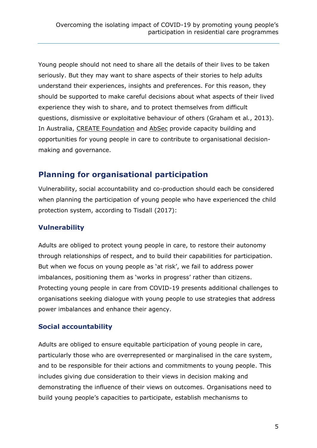Young people should not need to share all the details of their lives to be taken seriously. But they may want to share aspects of their stories to help adults understand their experiences, insights and preferences. For this reason, they should be supported to make careful decisions about what aspects of their lived experience they wish to share, and to protect themselves from difficult questions, dismissive or exploitative behaviour of others (Graham et al*.*, 2013). In Australia, [CREATE Foundation](https://create.org.au/) and [AbSec](https://www.absec.org.au/youth-ambassador-program.html) provide capacity building and opportunities for young people in care to contribute to organisational decisionmaking and governance.

### **Planning for organisational participation**

Vulnerability, social accountability and co-production should each be considered when planning the participation of young people who have experienced the child protection system, according to Tisdall (2017):

#### **Vulnerability**

Adults are obliged to protect young people in care, to restore their autonomy through relationships of respect, and to build their capabilities for participation. But when we focus on young people as 'at risk', we fail to address power imbalances, positioning them as 'works in progress' rather than citizens. Protecting young people in care from COVID-19 presents additional challenges to organisations seeking dialogue with young people to use strategies that address power imbalances and enhance their agency.

#### **Social accountability**

Adults are obliged to ensure equitable participation of young people in care, particularly those who are overrepresented or marginalised in the care system, and to be responsible for their actions and commitments to young people. This includes giving due consideration to their views in decision making and demonstrating the influence of their views on outcomes. Organisations need to build young people's capacities to participate, establish mechanisms to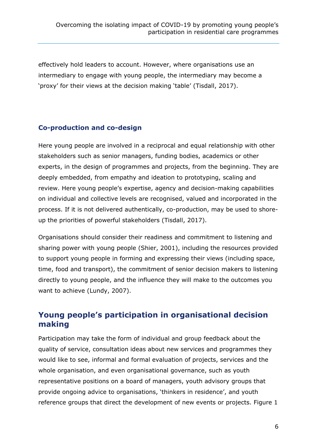effectively hold leaders to account. However, where organisations use an intermediary to engage with young people, the intermediary may become a 'proxy' for their views at the decision making 'table' (Tisdall, 2017).

#### **Co-production and co-design**

Here young people are involved in a reciprocal and equal relationship with other stakeholders such as senior managers, funding bodies, academics or other experts, in the design of programmes and projects, from the beginning. They are deeply embedded, from empathy and ideation to prototyping, scaling and review. Here young people's expertise, agency and decision-making capabilities on individual and collective levels are recognised, valued and incorporated in the process. If it is not delivered authentically, co-production, may be used to shoreup the priorities of powerful stakeholders (Tisdall, 2017).

Organisations should consider their readiness and commitment to listening and sharing power with young people (Shier, 2001), including the resources provided to support young people in forming and expressing their views (including space, time, food and transport), the commitment of senior decision makers to listening directly to young people, and the influence they will make to the outcomes you want to achieve (Lundy, 2007).

### **Young people's participation in organisational decision making**

Participation may take the form of individual and group feedback about the quality of service, consultation ideas about new services and programmes they would like to see, informal and formal evaluation of projects, services and the whole organisation, and even organisational governance, such as youth representative positions on a board of managers, youth advisory groups that provide ongoing advice to organisations, 'thinkers in residence', and youth reference groups that direct the development of new events or projects. Figure 1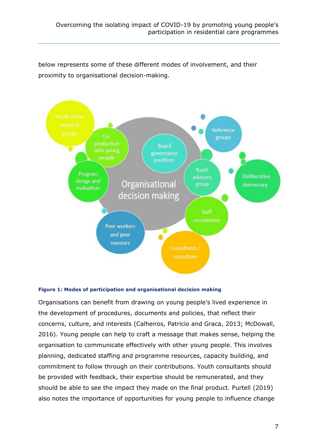below represents some of these different modes of involvement, and their proximity to organisational decision-making.



#### **Figure 1: Modes of participation and organisational decision making**

Organisations can benefit from drawing on young people's lived experience in the development of procedures, documents and policies, that reflect their concerns, culture, and interests (Calheiros, Patricio and Graca, 2013; McDowall, 2016). Young people can help to craft a message that makes sense, helping the organisation to communicate effectively with other young people. This involves planning, dedicated staffing and programme resources, capacity building, and commitment to follow through on their contributions. Youth consultants should be provided with feedback, their expertise should be remunerated, and they should be able to see the impact they made on the final product. Purtell (2019) also notes the importance of opportunities for young people to influence change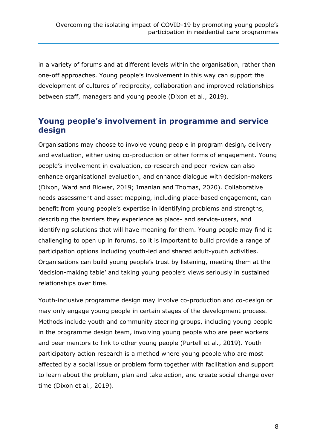in a variety of forums and at different levels within the organisation, rather than one-off approaches. Young people's involvement in this way can support the development of cultures of reciprocity, collaboration and improved relationships between staff, managers and young people (Dixon et al., 2019).

## **Young people's involvement in programme and service design**

Organisations may choose to involve young people in program design**,** delivery and evaluation, either using co-production or other forms of engagement. Young people's involvement in evaluation, co-research and peer review can also enhance organisational evaluation, and enhance dialogue with decision-makers (Dixon, Ward and Blower, 2019; Imanian and Thomas, 2020). Collaborative needs assessment and asset mapping, including place-based engagement, can benefit from young people's expertise in identifying problems and strengths, describing the barriers they experience as place- and service-users, and identifying solutions that will have meaning for them. Young people may find it challenging to open up in forums, so it is important to build provide a range of participation options including youth-led and shared adult-youth activities. Organisations can build young people's trust by listening, meeting them at the 'decision-making table' and taking young people's views seriously in sustained relationships over time.

Youth-inclusive programme design may involve co-production and co-design or may only engage young people in certain stages of the development process. Methods include youth and community steering groups, including young people in the programme design team, involving young people who are peer workers and peer mentors to link to other young people (Purtell et al*.*, 2019). Youth participatory action research is a method where young people who are most affected by a social issue or problem form together with facilitation and support to learn about the problem, plan and take action, and create social change over time (Dixon et al., 2019).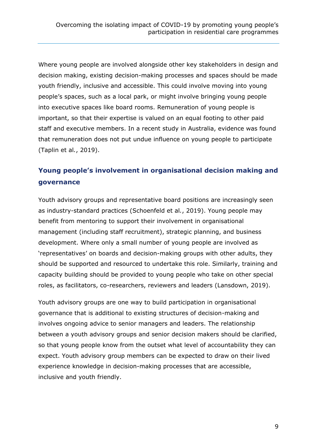Where young people are involved alongside other key stakeholders in design and decision making, existing decision-making processes and spaces should be made youth friendly, inclusive and accessible. This could involve moving into young people's spaces, such as a local park, or might involve bringing young people into executive spaces like board rooms. Remuneration of young people is important, so that their expertise is valued on an equal footing to other paid staff and executive members. In a recent study in Australia, evidence was found that remuneration does not put undue influence on young people to participate (Taplin et al*.*, 2019).

# **Young people's involvement in organisational decision making and governance**

Youth advisory groups and representative board positions are increasingly seen as industry-standard practices (Schoenfeld et al*.*, 2019). Young people may benefit from mentoring to support their involvement in organisational management (including staff recruitment), strategic planning, and business development. Where only a small number of young people are involved as 'representatives' on boards and decision-making groups with other adults, they should be supported and resourced to undertake this role. Similarly, training and capacity building should be provided to young people who take on other special roles, as facilitators, co-researchers, reviewers and leaders (Lansdown, 2019).

Youth advisory groups are one way to build participation in organisational governance that is additional to existing structures of decision-making and involves ongoing advice to senior managers and leaders. The relationship between a youth advisory groups and senior decision makers should be clarified, so that young people know from the outset what level of accountability they can expect. Youth advisory group members can be expected to draw on their lived experience knowledge in decision-making processes that are accessible, inclusive and youth friendly.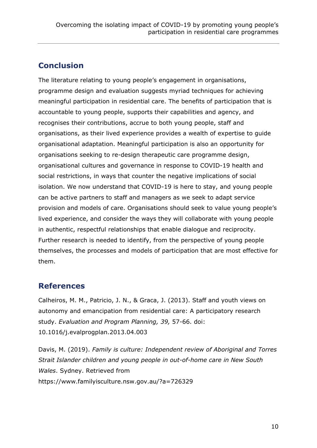# **Conclusion**

The literature relating to young people's engagement in organisations, programme design and evaluation suggests myriad techniques for achieving meaningful participation in residential care. The benefits of participation that is accountable to young people, supports their capabilities and agency, and recognises their contributions, accrue to both young people, staff and organisations, as their lived experience provides a wealth of expertise to guide organisational adaptation. Meaningful participation is also an opportunity for organisations seeking to re-design therapeutic care programme design, organisational cultures and governance in response to COVID-19 health and social restrictions, in ways that counter the negative implications of social isolation. We now understand that COVID-19 is here to stay, and young people can be active partners to staff and managers as we seek to adapt service provision and models of care. Organisations should seek to value young people's lived experience, and consider the ways they will collaborate with young people in authentic, respectful relationships that enable dialogue and reciprocity. Further research is needed to identify, from the perspective of young people themselves, the processes and models of participation that are most effective for them.

#### **References**

Calheiros, M. M., Patricio, J. N., & Graca, J. (2013). Staff and youth views on autonomy and emancipation from residential care: A participatory research study. *Evaluation and Program Planning, 39,* 57-66. doi: 10.1016/j.evalprogplan.2013.04.003

Davis, M. (2019). *Family is culture: Independent review of Aboriginal and Torres Strait Islander children and young people in out-of-home care in New South Wales*. Sydney. Retrieved from https://www.familyisculture.nsw.gov.au/?a=726329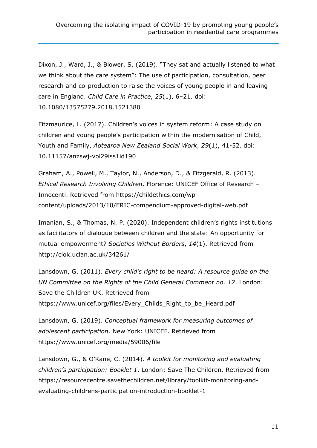Dixon, J., Ward, J., & Blower, S. (2019). "They sat and actually listened to what we think about the care system": The use of participation, consultation, peer research and co-production to raise the voices of young people in and leaving care in England. *Child Care in Practice*, *25*(1), 6–21. doi: 10.1080/13575279.2018.1521380

Fitzmaurice, L. (2017). Children's voices in system reform: A case study on children and young people's participation within the modernisation of Child, Youth and Family, *Aotearoa New Zealand Social Work*, *29*(1), 41-52. doi: 10.11157/anzswj-vol29iss1id190

Graham, A., Powell, M., Taylor, N., Anderson, D., & Fitzgerald, R. (2013). *Ethical [Research](https://childethics.com/glossary/research/) Involving [Children](https://childethics.com/glossary/child/)*. Florence: UNICEF Office of Research – Innocenti. Retrieved from https://childethics.com/wpcontent/uploads/2013/10/ERIC-compendium-approved-digital-web.pdf

Imanian, S., & Thomas, N. P. (2020). Independent children's rights institutions as facilitators of dialogue between children and the state: An opportunity for mutual empowerment? *Societies Without Borders*, *14*(1). Retrieved from http://clok.uclan.ac.uk/34261/

Lansdown, G. (2011). *Every child's right to be heard: A resource guide on the UN Committee on the Rights of the Child General Comment no. 12*. London: Save the Children UK. Retrieved from https://www.unicef.org/files/Every\_Childs\_Right\_to\_be\_Heard.pdf

Lansdown, G. (2019). *Conceptual framework for measuring outcomes of adolescent participation*. New York: UNICEF. Retrieved from https://www.unicef.org/media/59006/file

Lansdown, G., & O'Kane, C. (2014). *A toolkit for monitoring and evaluating children's participation: Booklet 1*. London: Save The Children. Retrieved from https://resourcecentre.savethechildren.net/library/toolkit-monitoring-andevaluating-childrens-participation-introduction-booklet-1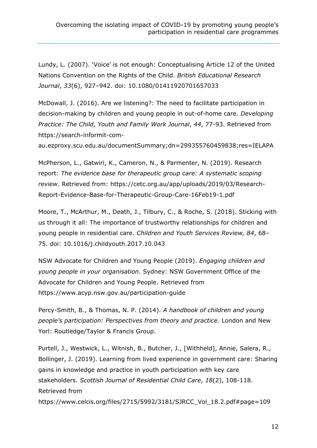Lundy, L. (2007). 'Voice' is not enough: Conceptualising Article 12 of the United Nations Convention on the Rights of the Child. *British Educational Research Journal*, *33*(6), 927–942. doi: 10.1080/01411920701657033

McDowall, J. (2016). Are we listening?: The need to facilitate participation in decision-making by children and young people in out-of-home care. *Developing Practice: The Child, Youth and Family Work Journal*, *44*, 77-93. Retrieved from https://search-informit-com-

au.ezproxy.scu.edu.au/documentSummary;dn=299355760459838;res=IELAPA

McPherson, L., Gatwiri, K., Cameron, N., & Parmenter, N. (2019). Research report: *The evidence base for therapeutic group care: A systematic scoping review*. Retrieved from: https://cetc.org.au/app/uploads/2019/03/Research-Report-Evidence-Base-for-Therapeutic-Group-Care-16Feb19-1.pdf

Moore, T., McArthur, M., Death, J., Tilbury, C., & Roche, S. (2018). Sticking with us through it all: The importance of trustworthy relationships for children and young people in residential care. *Children and Youth Services Review, 84*, 68– 75. doi: 10.1016/j.childyouth.2017.10.043

NSW Advocate for Children and Young People (2019). *Engaging children and young people in your organisation*. Sydney: NSW Government Office of the Advocate for Children and Young People. Retrieved from https://www.acyp.nsw.gov.au/participation-guide

Percy-Smith, B., & Thomas, N. P. (2014). *A handbook of children and young people's participation: Perspectives from theory and practice*. London and New Yorl: Routledge/Taylor & Francis Group.

Purtell, J., Westwick, L., Witnish, B., Butcher, J., [Withheld], Annie, Salera, R., Bollinger, J. (2019). Learning from lived experience in government care: Sharing gains in knowledge and practice in youth participation with key care stakeholders. *Scottish Journal of Residential Child Care*, *18*(2), 108-118. Retrieved from https://www.celcis.org/files/2715/5992/3181/SJRCC\_Vol\_18.2.pdf#page=109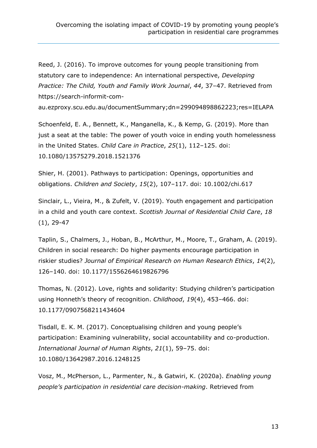Reed, J. (2016). To improve outcomes for young people transitioning from statutory care to independence: An international perspective, *Developing Practice: The Child, Youth and Family Work Journal*, *44*, 37–47. Retrieved from https://search-informit-com-

au.ezproxy.scu.edu.au/documentSummary;dn=299094898862223;res=IELAPA

Schoenfeld, E. A., Bennett, K., Manganella, K., & Kemp, G. (2019). More than just a seat at the table: The power of youth voice in ending youth homelessness in the United States. *Child Care in Practice*, *25*(1), 112–125. doi: 10.1080/13575279.2018.1521376

Shier, H. (2001). Pathways to participation: Openings, opportunities and obligations. *Children and Society*, *15*(2), 107–117. doi: 10.1002/chi.617

Sinclair, L., Vieira, M., & Zufelt, V. (2019). Youth engagement and participation in a child and youth care context. *Scottish Journal of Residential Child Care*, *18* (1), 29-47

Taplin, S., Chalmers, J., Hoban, B., McArthur, M., Moore, T., Graham, A. (2019). Children in social research: Do higher payments encourage participation in riskier studies? *Journal of Empirical Research on Human Research Ethics*, *14*(2), 126–140. doi: 10.1177/1556264619826796

Thomas, N. (2012). Love, rights and solidarity: Studying children's participation using Honneth's theory of recognition. *Childhood*, *19*(4), 453–466. doi: 10.1177/0907568211434604

Tisdall, E. K. M. (2017). Conceptualising children and young people's participation: Examining vulnerability, social accountability and co-production. *International Journal of Human Rights*, *21*(1), 59–75. doi: 10.1080/13642987.2016.1248125

Vosz, M., McPherson, L., Parmenter, N., & Gatwiri, K. (2020a). *Enabling young people's participation in residential care decision-making*. Retrieved from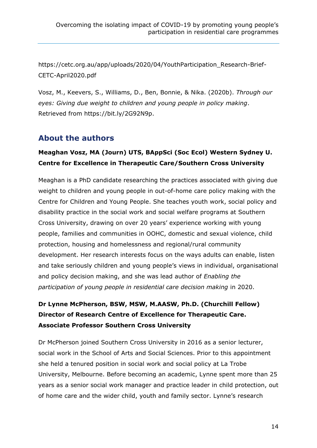https://cetc.org.au/app/uploads/2020/04/YouthParticipation\_Research-Brief-CETC-April2020.pdf

Vosz, M., Keevers, S., Williams, D., Ben, Bonnie, & Nika. (2020b). *Through our eyes: Giving due weight to children and young people in policy making*. Retrieved from https://bit.ly/2G92N9p.

### **About the authors**

#### **Meaghan Vosz, MA (Journ) UTS, BAppSci (Soc Ecol) Western Sydney U. Centre for Excellence in Therapeutic Care/Southern Cross University**

Meaghan is a PhD candidate researching the practices associated with giving due weight to children and young people in out-of-home care policy making with the Centre for Children and Young People. She teaches youth work, social policy and disability practice in the social work and social welfare programs at Southern Cross University, drawing on over 20 years' experience working with young people, families and communities in OOHC, domestic and sexual violence, child protection, housing and homelessness and regional/rural community development. Her research interests focus on the ways adults can enable, listen and take seriously children and young people's views in individual, organisational and policy decision making, and she was lead author of *[Enabling the](https://cetc.org.au/app/uploads/2020/04/YouthParticipation_Research-Brief-CETC-April2020.pdf)  [participation of young people in residential care decision making](https://cetc.org.au/app/uploads/2020/04/YouthParticipation_Research-Brief-CETC-April2020.pdf)* in 2020.

### **Dr Lynne McPherson, BSW, MSW, M.AASW, Ph.D. (Churchill Fellow) Director of Research Centre of Excellence for Therapeutic Care. Associate Professor Southern Cross University**

Dr McPherson joined Southern Cross University in 2016 as a senior lecturer, social work in the School of Arts and Social Sciences. Prior to this appointment she held a tenured position in social work and social policy at La Trobe University, Melbourne. Before becoming an academic, Lynne spent more than 25 years as a senior social work manager and practice leader in child protection, out of home care and the wider child, youth and family sector. Lynne's research